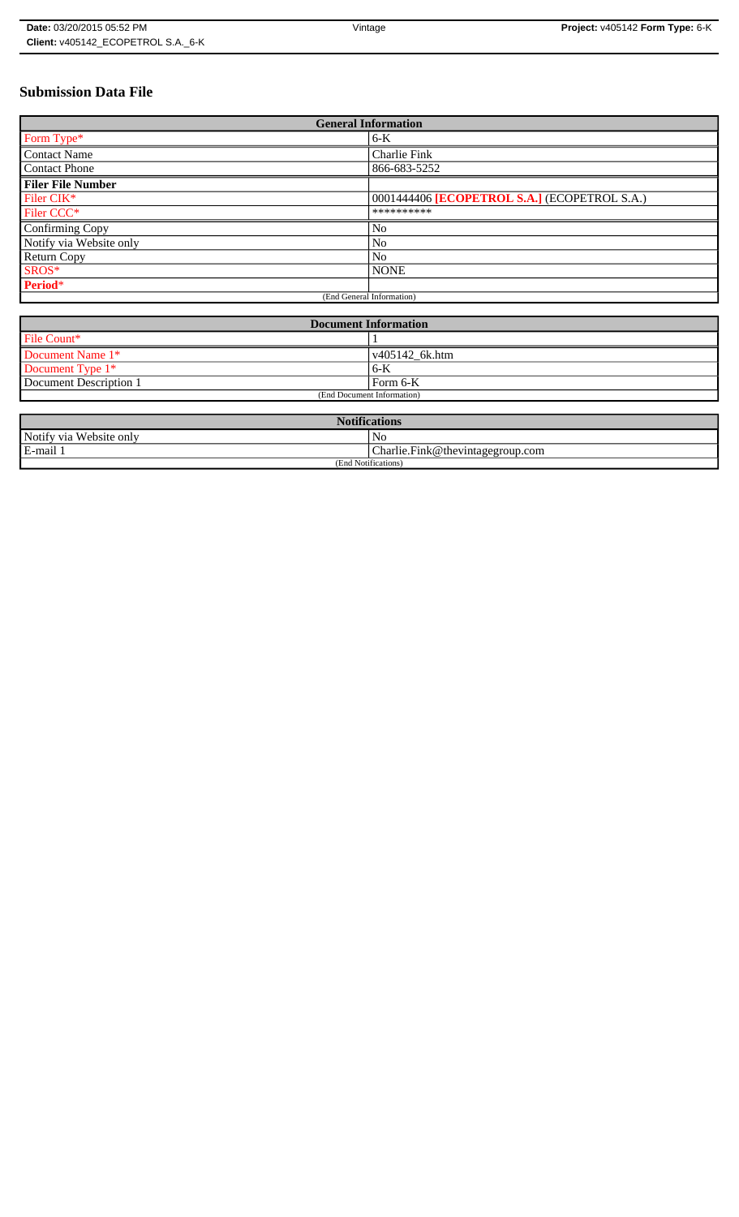# **Submission Data File**

| <b>General Information</b> |                                                     |
|----------------------------|-----------------------------------------------------|
| Form Type*                 | $6-K$                                               |
| <b>Contact Name</b>        | Charlie Fink                                        |
| <b>Contact Phone</b>       | 866-683-5252                                        |
| <b>Filer File Number</b>   |                                                     |
| Filer CIK*                 | 0001444406 <b>[ECOPETROL S.A.]</b> (ECOPETROL S.A.) |
| Filer CCC <sup>*</sup>     | **********                                          |
| Confirming Copy            | No                                                  |
| Notify via Website only    | N <sub>o</sub>                                      |
| <b>Return Copy</b>         | N <sub>o</sub>                                      |
| SROS*                      | <b>NONE</b>                                         |
| Period*                    |                                                     |
| (End General Information)  |                                                     |

| <b>Document Information</b> |                        |
|-----------------------------|------------------------|
| File Count*                 |                        |
| Document Name 1*            | $\sqrt{405142}$ 6k.htm |
| Document Type 1*            | 6-K                    |
| Document Description 1      | l Form 6-K             |
| (End Document Information)  |                        |

| <b>Notifications</b>    |                                  |
|-------------------------|----------------------------------|
| Notify via Website only | N <sub>0</sub>                   |
| E-mail 1                | Charlie.Fink@thevintagegroup.com |
| (End Notifications)     |                                  |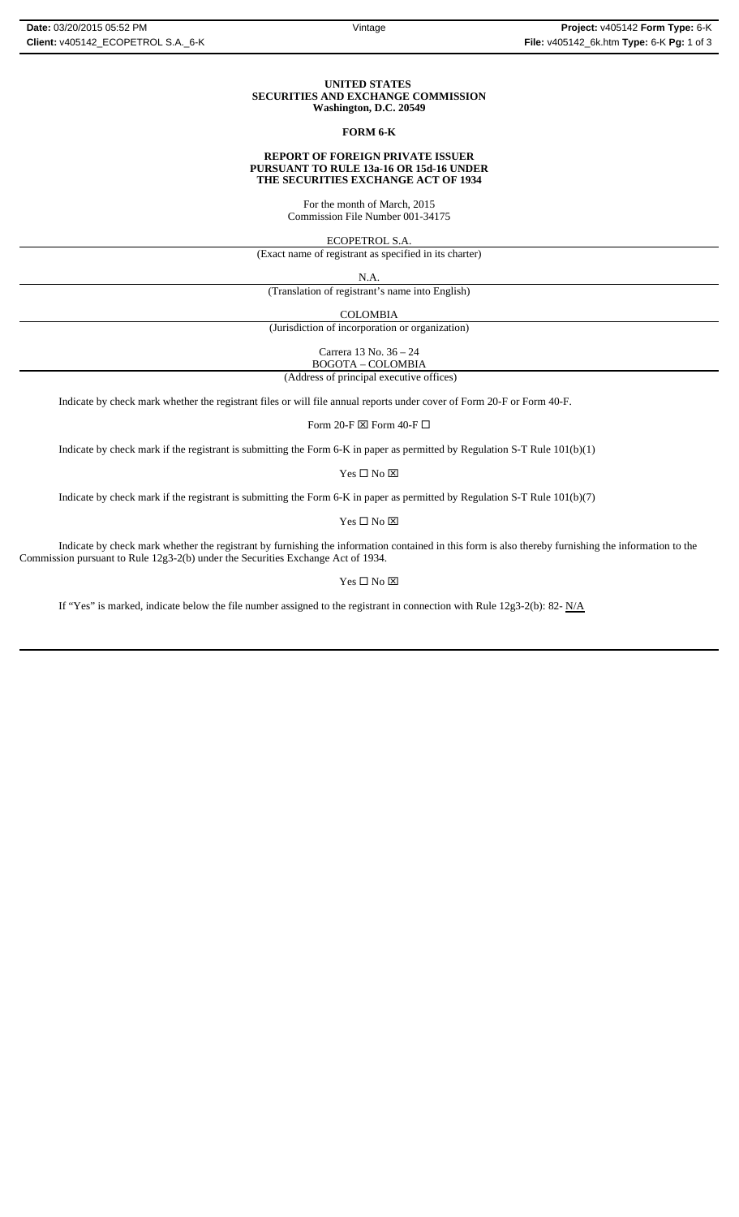#### **UNITED STATES SECURITIES AND EXCHANGE COMMISSION Washington, D.C. 20549**

### **FORM 6-K**

#### **REPORT OF FOREIGN PRIVATE ISSUER PURSUANT TO RULE 13a-16 OR 15d-16 UNDER THE SECURITIES EXCHANGE ACT OF 1934**

For the month of March, 2015 Commission File Number 001-34175

ECOPETROL S.A.

(Exact name of registrant as specified in its charter)

N.A.

(Translation of registrant's name into English)

COLOMBIA

(Jurisdiction of incorporation or organization)

Carrera 13 No. 36 – 24

 (Address of principal executive offices) BOGOTA – COLOMBIA

Indicate by check mark whether the registrant files or will file annual reports under cover of Form 20-F or Form 40-F.

Form 20-F  $\boxtimes$  Form 40-F  $\Box$ 

Indicate by check mark if the registrant is submitting the Form 6-K in paper as permitted by Regulation S-T Rule 101(b)(1)

Yes $\square$  No  $\square$ 

Indicate by check mark if the registrant is submitting the Form 6-K in paper as permitted by Regulation S-T Rule 101(b)(7)

Yes □ No ⊠

Indicate by check mark whether the registrant by furnishing the information contained in this form is also thereby furnishing the information to the Commission pursuant to Rule 12g3-2(b) under the Securities Exchange Act of 1934.

 $\mathbf{Yes} \ \square \ \mathbf{No} \ \boxtimes$ 

If "Yes" is marked, indicate below the file number assigned to the registrant in connection with Rule 12g3-2(b): 82-  $N/A$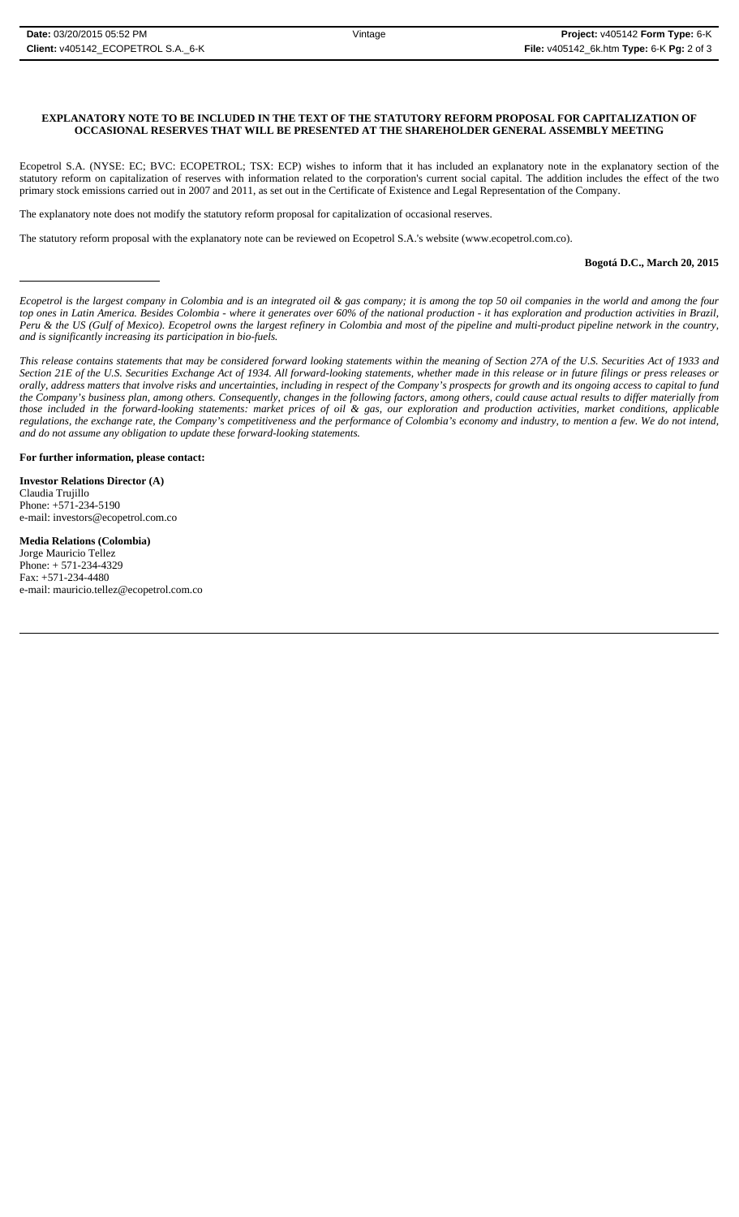## **EXPLANATORY NOTE TO BE INCLUDED IN THE TEXT OF THE STATUTORY REFORM PROPOSAL FOR CAPITALIZATION OF OCCASIONAL RESERVES THAT WILL BE PRESENTED AT THE SHAREHOLDER GENERAL ASSEMBLY MEETING**

Ecopetrol S.A. (NYSE: EC; BVC: ECOPETROL; TSX: ECP) wishes to inform that it has included an explanatory note in the explanatory section of the statutory reform on capitalization of reserves with information related to the corporation's current social capital. The addition includes the effect of the two primary stock emissions carried out in 2007 and 2011, as set out in the Certificate of Existence and Legal Representation of the Company.

The explanatory note does not modify the statutory reform proposal for capitalization of occasional reserves.

The statutory reform proposal with the explanatory note can be reviewed on Ecopetrol S.A.'s website (www.ecopetrol.com.co).

#### **Bogotá D.C., March 20, 2015**

*Ecopetrol is the largest company in Colombia and is an integrated oil & gas company; it is among the top 50 oil companies in the world and among the four top ones in Latin America. Besides Colombia - where it generates over 60% of the national production - it has exploration and production activities in Brazil, Peru & the US (Gulf of Mexico). Ecopetrol owns the largest refinery in Colombia and most of the pipeline and multi-product pipeline network in the country, and is significantly increasing its participation in bio-fuels.*

*This release contains statements that may be considered forward looking statements within the meaning of Section 27A of the U.S. Securities Act of 1933 and Section 21E of the U.S. Securities Exchange Act of 1934. All forward-looking statements, whether made in this release or in future filings or press releases or* orally, address matters that involve risks and uncertainties, including in respect of the Company's prospects for growth and its ongoing access to capital to fund *the Company's business plan, among others. Consequently, changes in the following factors, among others, could cause actual results to differ materially from those included in the forward-looking statements: market prices of oil & gas, our exploration and production activities, market conditions, applicable regulations, the exchange rate, the Company's competitiveness and the performance of Colombia's economy and industry, to mention a few. We do not intend, and do not assume any obligation to update these forward-looking statements.*

**For further information, please contact:** 

**Investor Relations Director (A)** Claudia Trujillo Phone: +571-234-5190 e-mail: investors@ecopetrol.com.co

**Media Relations (Colombia)**  Jorge Mauricio Tellez Phone: + 571-234-4329 Fax: +571-234-4480 e-mail: mauricio.tellez@ecopetrol.com.co